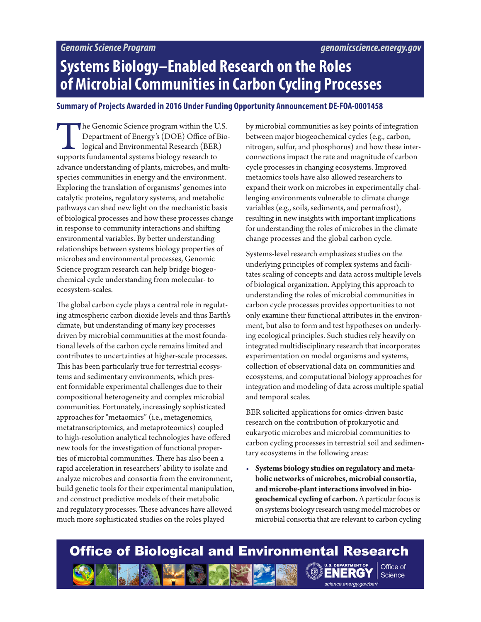# **Systems Biology–Enabled Research on the Roles of Microbial Communities in Carbon Cycling Processes**

### **Summary of Projects Awarded in 2016 Under Funding Opportunity Announcement DE-FOA-0001458**

The Genomic Science program within the U.S.<br>
Department of Energy's (DOE) Office of Biological and Environmental Research (BER)<br>
supports fundamental systems biology research to Department of Energy's (DOE) Office of Biological and Environmental Research (BER) advance understanding of plants, microbes, and multispecies communities in energy and the environment. Exploring the translation of organisms' genomes into catalytic proteins, regulatory systems, and metabolic pathways can shed new light on the mechanistic basis of biological processes and how these processes change in response to community interactions and shifting environmental variables. By better understanding relationships between systems biology properties of microbes and environmental processes, Genomic Science program research can help bridge biogeochemical cycle understanding from molecular- to ecosystem-scales.

The global carbon cycle plays a central role in regulating atmospheric carbon dioxide levels and thus Earth's climate, but understanding of many key processes driven by microbial communities at the most foundational levels of the carbon cycle remains limited and contributes to uncertainties at higher-scale processes. This has been particularly true for terrestrial ecosystems and sedimentary environments, which present formidable experimental challenges due to their compositional heterogeneity and complex microbial communities. Fortunately, increasingly sophisticated approaches for "metaomics" (i.e., metagenomics, metatranscriptomics, and metaproteomics) coupled to high-resolution analytical technologies have offered new tools for the investigation of functional properties of microbial communities. There has also been a rapid acceleration in researchers' ability to isolate and analyze microbes and consortia from the environment, build genetic tools for their experimental manipulation, and construct predictive models of their metabolic and regulatory processes. These advances have allowed much more sophisticated studies on the roles played

by microbial communities as key points of integration between major biogeochemical cycles (e.g., carbon, nitrogen, sulfur, and phosphorus) and how these interconnections impact the rate and magnitude of carbon cycle processes in changing ecosystems. Improved metaomics tools have also allowed researchers to expand their work on microbes in experimentally challenging environments vulnerable to climate change variables (e.g., soils, sediments, and permafrost), resulting in new insights with important implications for understanding the roles of microbes in the climate change processes and the global carbon cycle.

Systems-level research emphasizes studies on the underlying principles of complex systems and facilitates scaling of concepts and data across multiple levels of biological organization. Applying this approach to understanding the roles of microbial communities in carbon cycle processes provides opportunities to not only examine their functional attributes in the environment, but also to form and test hypotheses on underlying ecological principles. Such studies rely heavily on integrated multidisciplinary research that incorporates experimentation on model organisms and systems, collection of observational data on communities and ecosystems, and computational biology approaches for integration and modeling of data across multiple spatial and temporal scales.

BER solicited applications for omics-driven basic research on the contribution of prokaryotic and eukaryotic microbes and microbial communities to carbon cycling processes in terrestrial soil and sedimentary ecosystems in the following areas:

• **Systems biology studies on regulatory and metabolic networks of microbes, microbial consortia, and microbe-plant interactions involved in biogeochemical cycling of carbon.** A particular focus is on systems biology research using model microbes or microbial consortia that are relevant to carbon cycling

 $s$ cience.energy.gov/ber/

Science

#### **Office of Biological and Environmental Research** Office of  $\bigcirc$ **ENERG**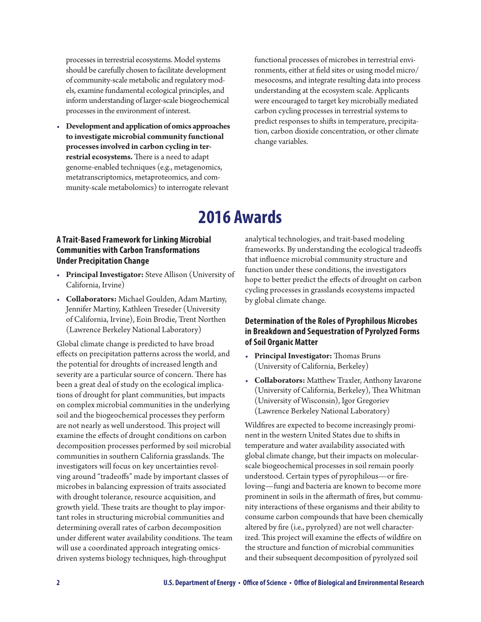processes in terrestrial ecosystems. Model systems should be carefully chosen to facilitate development of community-scale metabolic and regulatory models, examine fundamental ecological principles, and inform understanding of larger-scale biogeochemical processes in the environment of interest.

• **Development and application of omics approaches to investigate microbial community functional processes involved in carbon cycling in terrestrial ecosystems.** There is a need to adapt genome-enabled techniques (e.g., metagenomics, metatranscriptomics, metaproteomics, and community-scale metabolomics) to interrogate relevant

functional processes of microbes in terrestrial environments, either at field sites or using model micro/ mesocosms, and integrate resulting data into process understanding at the ecosystem scale. Applicants were encouraged to target key microbially mediated carbon cycling processes in terrestrial systems to predict responses to shifts in temperature, precipitation, carbon dioxide concentration, or other climate change variables.

## **2016 Awards**

## **A Trait-Based Framework for Linking Microbial Communities with Carbon Transformations Under Precipitation Change**

- **Principal Investigator:** Steve Allison (University of California, Irvine)
- **Collaborators:** Michael Goulden, Adam Martiny, Jennifer Martiny, Kathleen Treseder (University of California, Irvine), Eoin Brodie, Trent Northen (Lawrence Berkeley National Laboratory)

Global climate change is predicted to have broad effects on precipitation patterns across the world, and the potential for droughts of increased length and severity are a particular source of concern. There has been a great deal of study on the ecological implications of drought for plant communities, but impacts on complex microbial communities in the underlying soil and the biogeochemical processes they perform are not nearly as well understood. This project will examine the effects of drought conditions on carbon decomposition processes performed by soil microbial communities in southern California grasslands. The investigators will focus on key uncertainties revolving around "tradeoffs" made by important classes of microbes in balancing expression of traits associated with drought tolerance, resource acquisition, and growth yield. These traits are thought to play important roles in structuring microbial communities and determining overall rates of carbon decomposition under different water availability conditions. The team will use a coordinated approach integrating omicsdriven systems biology techniques, high-throughput

analytical technologies, and trait-based modeling frameworks. By understanding the ecological tradeoffs that influence microbial community structure and function under these conditions, the investigators hope to better predict the effects of drought on carbon cycling processes in grasslands ecosystems impacted by global climate change.

## **Determination of the Roles of Pyrophilous Microbes in Breakdown and Sequestration of Pyrolyzed Forms of Soil Organic Matter**

- **Principal Investigator:** Thomas Bruns (University of California, Berkeley)
- **Collaborators:** Matthew Traxler, Anthony Iavarone (University of California, Berkeley), Thea Whitman (University of Wisconsin), Igor Gregoriev (Lawrence Berkeley National Laboratory)

Wildfires are expected to become increasingly prominent in the western United States due to shifts in temperature and water availability associated with global climate change, but their impacts on molecularscale biogeochemical processes in soil remain poorly understood. Certain types of pyrophilous—or fireloving—fungi and bacteria are known to become more prominent in soils in the aftermath of fires, but community interactions of these organisms and their ability to consume carbon compounds that have been chemically altered by fire (i.e., pyrolyzed) are not well characterized. This project will examine the effects of wildfire on the structure and function of microbial communities and their subsequent decomposition of pyrolyzed soil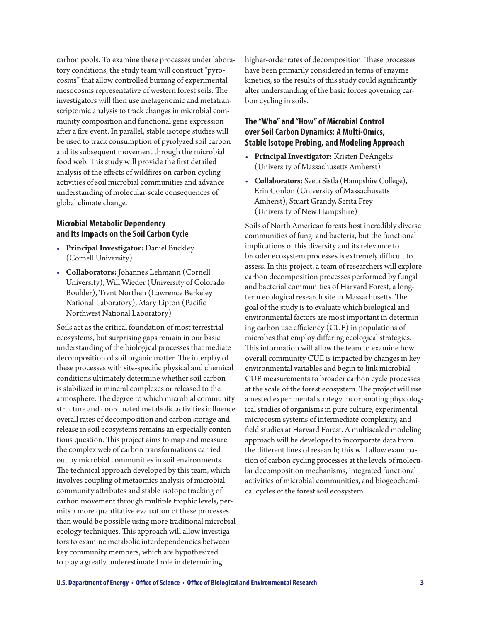carbon pools. To examine these processes under laboratory conditions, the study team will construct "pyrocosms" that allow controlled burning of experimental mesocosms representative of western forest soils. The investigators will then use metagenomic and metatranscriptomic analysis to track changes in microbial community composition and functional gene expression after a fire event. In parallel, stable isotope studies will be used to track consumption of pyrolyzed soil carbon and its subsequent movement through the microbial food web. This study will provide the first detailed analysis of the effects of wildfires on carbon cycling activities of soil microbial communities and advance understanding of molecular-scale consequences of global climate change.

#### **Microbial Metabolic Dependency and Its Impacts on the Soil Carbon Cycle**

- **Principal Investigator:** Daniel Buckley (Cornell University)
- **Collaborators:** Johannes Lehmann (Cornell University), Will Wieder (University of Colorado Boulder), Trent Northen (Lawrence Berkeley National Laboratory), Mary Lipton (Pacific Northwest National Laboratory)

Soils act as the critical foundation of most terrestrial ecosystems, but surprising gaps remain in our basic understanding of the biological processes that mediate decomposition of soil organic matter. The interplay of these processes with site-specific physical and chemical conditions ultimately determine whether soil carbon is stabilized in mineral complexes or released to the atmosphere. The degree to which microbial community structure and coordinated metabolic activities influence overall rates of decomposition and carbon storage and release in soil ecosystems remains an especially contentious question. This project aims to map and measure the complex web of carbon transformations carried out by microbial communities in soil environments. The technical approach developed by this team, which involves coupling of metaomics analysis of microbial community attributes and stable isotope tracking of carbon movement through multiple trophic levels, permits a more quantitative evaluation of these processes than would be possible using more traditional microbial ecology techniques. This approach will allow investigators to examine metabolic interdependencies between key community members, which are hypothesized to play a greatly underestimated role in determining

higher-order rates of decomposition. These processes have been primarily considered in terms of enzyme kinetics, so the results of this study could significantly alter understanding of the basic forces governing carbon cycling in soils.

## **The "Who" and "How" of Microbial Control over Soil Carbon Dynamics: A Multi-Omics, Stable Isotope Probing, and Modeling Approach**

- **Principal Investigator:** Kristen DeAngelis (University of Massachusetts Amherst)
- **Collaborators:** Seeta Sistla (Hampshire College), Erin Conlon (University of Massachusetts Amherst), Stuart Grandy, Serita Frey (University of New Hampshire)

Soils of North American forests host incredibly diverse communities of fungi and bacteria, but the functional implications of this diversity and its relevance to broader ecosystem processes is extremely difficult to assess. In this project, a team of researchers will explore carbon decomposition processes performed by fungal and bacterial communities of Harvard Forest, a longterm ecological research site in Massachusetts. The goal of the study is to evaluate which biological and environmental factors are most important in determining carbon use efficiency (CUE) in populations of microbes that employ differing ecological strategies. This information will allow the team to examine how overall community CUE is impacted by changes in key environmental variables and begin to link microbial CUE measurements to broader carbon cycle processes at the scale of the forest ecosystem. The project will use a nested experimental strategy incorporating physiological studies of organisms in pure culture, experimental microcosm systems of intermediate complexity, and field studies at Harvard Forest. A multiscaled modeling approach will be developed to incorporate data from the different lines of research; this will allow examination of carbon cycling processes at the levels of molecular decomposition mechanisms, integrated functional activities of microbial communities, and biogeochemical cycles of the forest soil ecosystem.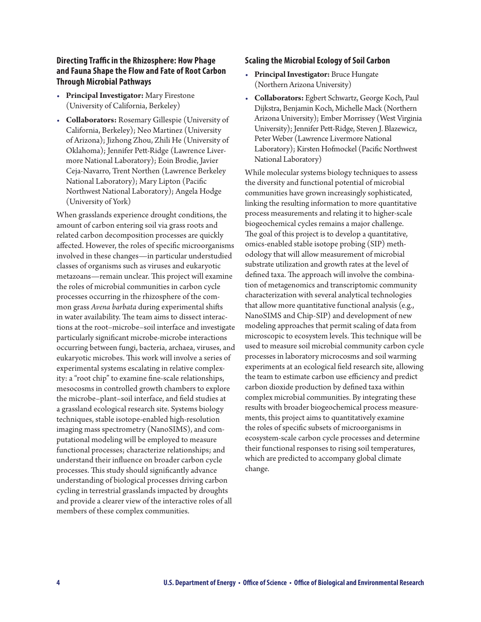## **Directing Traffic in the Rhizosphere: How Phage and Fauna Shape the Flow and Fate of Root Carbon Through Microbial Pathways**

- **Principal Investigator:** Mary Firestone (University of California, Berkeley)
- **Collaborators:** Rosemary Gillespie (University of California, Berkeley); Neo Martinez (University of Arizona); Jizhong Zhou, Zhili He (University of Oklahoma); Jennifer Pett-Ridge (Lawrence Livermore National Laboratory); Eoin Brodie, Javier Ceja-Navarro, Trent Northen (Lawrence Berkeley National Laboratory); Mary Lipton (Pacific Northwest National Laboratory); Angela Hodge (University of York)

When grasslands experience drought conditions, the amount of carbon entering soil via grass roots and related carbon decomposition processes are quickly affected. However, the roles of specific microorganisms involved in these changes—in particular understudied classes of organisms such as viruses and eukaryotic metazoans—remain unclear. This project will examine the roles of microbial communities in carbon cycle processes occurring in the rhizosphere of the common grass *Avena barbata* during experimental shifts in water availability. The team aims to dissect interactions at the root–microbe–soil interface and investigate particularly significant microbe-microbe interactions occurring between fungi, bacteria, archaea, viruses, and eukaryotic microbes. This work will involve a series of experimental systems escalating in relative complexity: a "root chip" to examine fine-scale relationships, mesocosms in controlled growth chambers to explore the microbe–plant–soil interface, and field studies at a grassland ecological research site. Systems biology techniques, stable isotope-enabled high-resolution imaging mass spectrometry (NanoSIMS), and computational modeling will be employed to measure functional processes; characterize relationships; and understand their influence on broader carbon cycle processes. This study should significantly advance understanding of biological processes driving carbon cycling in terrestrial grasslands impacted by droughts and provide a clearer view of the interactive roles of all members of these complex communities.

#### **Scaling the Microbial Ecology of Soil Carbon**

- **Principal Investigator:** Bruce Hungate (Northern Arizona University)
- **Collaborators:** Egbert Schwartz, George Koch, Paul Dijkstra, Benjamin Koch, Michelle Mack (Northern Arizona University); Ember Morrissey (West Virginia University); Jennifer Pett-Ridge, Steven J. Blazewicz, Peter Weber (Lawrence Livermore National Laboratory); Kirsten Hofmockel (Pacific Northwest National Laboratory)

While molecular systems biology techniques to assess the diversity and functional potential of microbial communities have grown increasingly sophisticated, linking the resulting information to more quantitative process measurements and relating it to higher-scale biogeochemical cycles remains a major challenge. The goal of this project is to develop a quantitative, omics-enabled stable isotope probing (SIP) methodology that will allow measurement of microbial substrate utilization and growth rates at the level of defined taxa. The approach will involve the combination of metagenomics and transcriptomic community characterization with several analytical technologies that allow more quantitative functional analysis (e.g., NanoSIMS and Chip-SIP) and development of new modeling approaches that permit scaling of data from microscopic to ecosystem levels. This technique will be used to measure soil microbial community carbon cycle processes in laboratory microcosms and soil warming experiments at an ecological field research site, allowing the team to estimate carbon use efficiency and predict carbon dioxide production by defined taxa within complex microbial communities. By integrating these results with broader biogeochemical process measurements, this project aims to quantitatively examine the roles of specific subsets of microorganisms in ecosystem-scale carbon cycle processes and determine their functional responses to rising soil temperatures, which are predicted to accompany global climate change.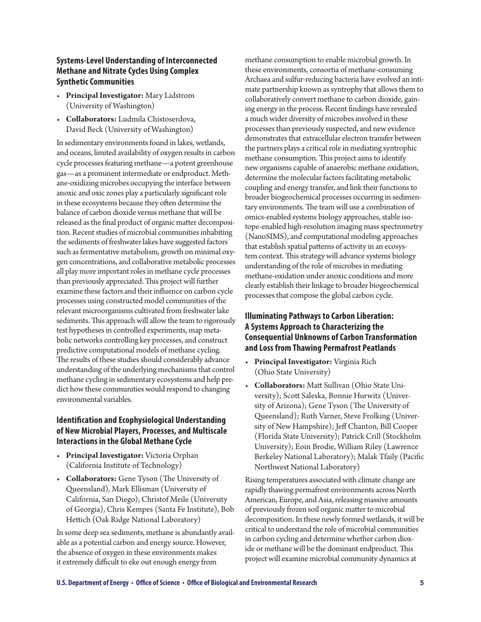## **Systems-Level Understanding of Interconnected Methane and Nitrate Cycles Using Complex Synthetic Communities**

- **Principal Investigator:** Mary Lidstrom (University of Washington)
- **Collaborators:** Ludmila Chistoserdova, David Beck (University of Washington)

In sedimentary environments found in lakes, wetlands, and oceans, limited availability of oxygen results in carbon cycle processes featuring methane—a potent greenhouse gas—as a prominent intermediate or endproduct. Methane-oxidizing microbes occupying the interface between anoxic and oxic zones play a particularly significant role in these ecosystems because they often determine the balance of carbon dioxide versus methane that will be released as the final product of organic matter decomposition. Recent studies of microbial communities inhabiting the sediments of freshwater lakes have suggested factors such as fermentative metabolism, growth on minimal oxygen concentrations, and collaborative metabolic processes all play more important roles in methane cycle processes than previously appreciated. This project will further examine these factors and their influence on carbon cycle processes using constructed model communities of the relevant microorganisms cultivated from freshwater lake sediments. This approach will allow the team to rigorously test hypotheses in controlled experiments, map metabolic networks controlling key processes, and construct predictive computational models of methane cycling. The results of these studies should considerably advance understanding of the underlying mechanisms that control methane cycling in sedimentary ecosystems and help predict how these communities would respond to changing environmental variables.

### **Identification and Ecophysiological Understanding of New Microbial Players, Processes, and Multiscale Interactions in the Global Methane Cycle**

- **Principal Investigator:** Victoria Orphan (California Institute of Technology)
- **Collaborators:** Gene Tyson (The University of Queensland), Mark Ellisman (University of California, San Diego), Christof Meile (University of Georgia), Chris Kempes (Santa Fe Institute), Bob Hettich (Oak Ridge National Laboratory)

In some deep sea sediments, methane is abundantly available as a potential carbon and energy source. However, the absence of oxygen in these environments makes it extremely difficult to eke out enough energy from

methane consumption to enable microbial growth. In these environments, consortia of methane-consuming Archaea and sulfur-reducing bacteria have evolved an intimate partnership known as syntrophy that allows them to collaboratively convert methane to carbon dioxide, gaining energy in the process. Recent findings have revealed a much wider diversity of microbes involved in these processes than previously suspected, and new evidence demonstrates that extracellular electron transfer between the partners plays a critical role in mediating syntrophic methane consumption. This project aims to identify new organisms capable of anaerobic methane oxidation, determine the molecular factors facilitating metabolic coupling and energy transfer, and link their functions to broader biogeochemical processes occurring in sedimentary environments. The team will use a combination of omics-enabled systems biology approaches, stable isotope-enabled high-resolution imaging mass spectrometry (NanoSIMS), and computational modeling approaches that establish spatial patterns of activity in an ecosystem context. This strategy will advance systems biology understanding of the role of microbes in mediating methane-oxidation under anoxic conditions and more clearly establish their linkage to broader biogeochemical processes that compose the global carbon cycle.

## **Illuminating Pathways to Carbon Liberation: A Systems Approach to Characterizing the Consequential Unknowns of Carbon Transformation and Loss from Thawing Permafrost Peatlands**

- **Principal Investigator:** Virginia Rich (Ohio State University)
- **Collaborators:** Matt Sullivan (Ohio State University); Scott Saleska, Bonnie Hurwitz (University of Arizona); Gene Tyson (The University of Queensland); Ruth Varner, Steve Frolking (University of New Hampshire); Jeff Chanton, Bill Cooper (Florida State University); Patrick Crill (Stockholm University); Eoin Brodie, William Riley (Lawrence Berkeley National Laboratory); Malak Tfaily (Pacific Northwest National Laboratory)

Rising temperatures associated with climate change are rapidly thawing permafrost environments across North American, Europe, and Asia, releasing massive amounts of previously frozen soil organic matter to microbial decomposition. In these newly formed wetlands, it will be critical to understand the role of microbial communities in carbon cycling and determine whether carbon dioxide or methane will be the dominant endproduct. This project will examine microbial community dynamics at